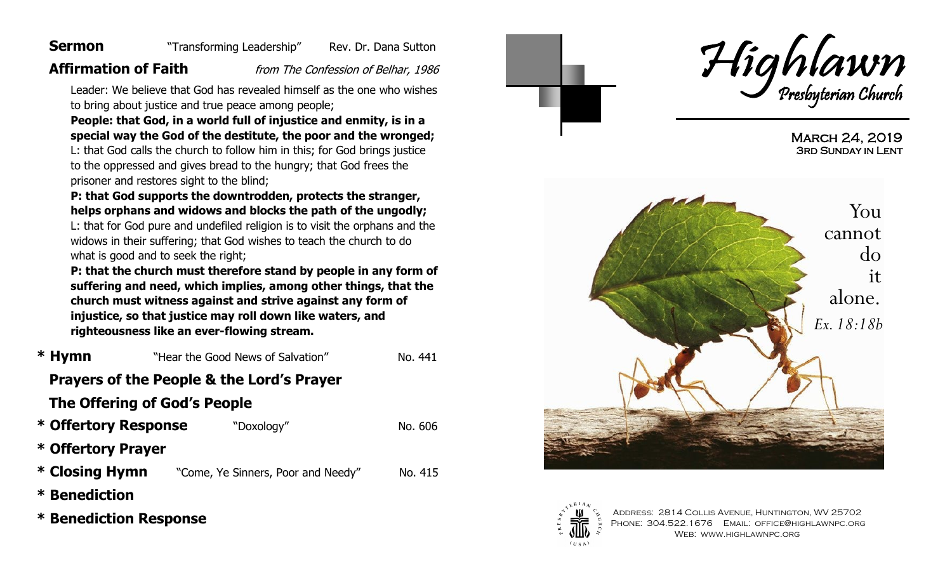#### **Sermon** "Transforming Leadership" Rev. Dr. Dana Sutton

**Affirmation of Faith** *from The Confession of Belhar, 1986* 

Leader: We believe that God has revealed himself as the one who wishes to bring about justice and true peace among people;

**People: that God, in a world full of injustice and enmity, is in a special way the God of the destitute, the poor and the wronged;** L: that God calls the church to follow him in this; for God brings justice to the oppressed and gives bread to the hungry; that God frees the prisoner and restores sight to the blind;

**P: that God supports the downtrodden, protects the stranger, helps orphans and widows and blocks the path of the ungodly;** 

L: that for God pure and undefiled religion is to visit the orphans and the widows in their suffering; that God wishes to teach the church to do what is good and to seek the right;

**P: that the church must therefore stand by people in any form of suffering and need, which implies, among other things, that the church must witness against and strive against any form of injustice, so that justice may roll down like waters, and righteousness like an ever-flowing stream.**

| * Hymn                                               | "Hear the Good News of Salvation"  | No. 441 |  |  |
|------------------------------------------------------|------------------------------------|---------|--|--|
| <b>Prayers of the People &amp; the Lord's Prayer</b> |                                    |         |  |  |
| The Offering of God's People                         |                                    |         |  |  |
| * Offertory Response<br>"Doxology"                   |                                    | No. 606 |  |  |
| * Offertory Prayer                                   |                                    |         |  |  |
| * Closing Hymn                                       | "Come, Ye Sinners, Poor and Needy" | No. 415 |  |  |
| <b>* Benediction</b>                                 |                                    |         |  |  |
| <b>* Benediction Response</b>                        |                                    |         |  |  |